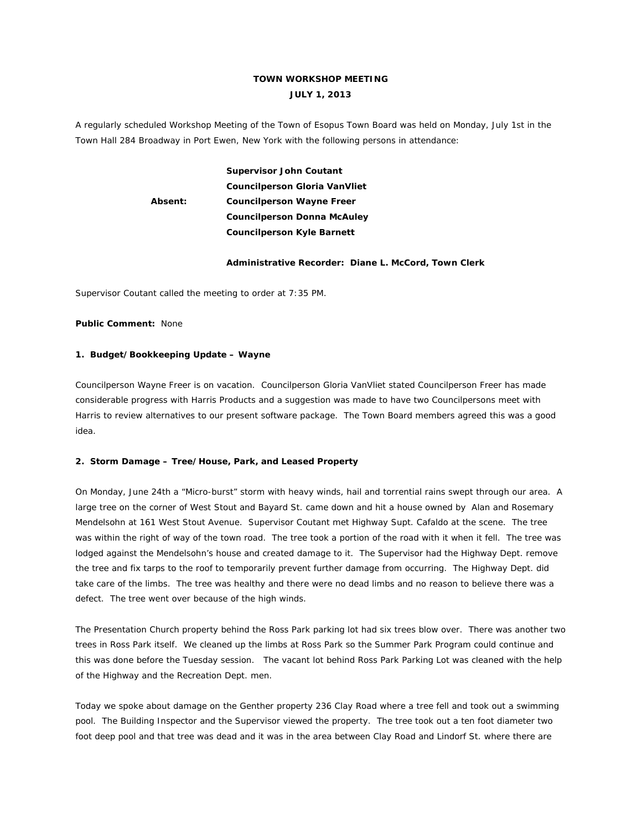# **TOWN WORKSHOP MEETING JULY 1, 2013**

A regularly scheduled Workshop Meeting of the Town of Esopus Town Board was held on Monday, July 1st in the Town Hall 284 Broadway in Port Ewen, New York with the following persons in attendance:

> **Supervisor John Coutant Councilperson Gloria VanVliet Absent: Councilperson Wayne Freer Councilperson Donna McAuley Councilperson Kyle Barnett**

## **Administrative Recorder: Diane L. McCord, Town Clerk**

Supervisor Coutant called the meeting to order at 7:35 PM.

**Public Comment:** None

## **1. Budget/Bookkeeping Update – Wayne**

Councilperson Wayne Freer is on vacation. Councilperson Gloria VanVliet stated Councilperson Freer has made considerable progress with Harris Products and a suggestion was made to have two Councilpersons meet with Harris to review alternatives to our present software package. The Town Board members agreed this was a good idea.

## **2. Storm Damage – Tree/House, Park, and Leased Property**

On Monday, June 24th a "Micro-burst" storm with heavy winds, hail and torrential rains swept through our area. A large tree on the corner of West Stout and Bayard St. came down and hit a house owned by Alan and Rosemary Mendelsohn at 161 West Stout Avenue. Supervisor Coutant met Highway Supt. Cafaldo at the scene. The tree was within the right of way of the town road. The tree took a portion of the road with it when it fell. The tree was lodged against the Mendelsohn's house and created damage to it. The Supervisor had the Highway Dept. remove the tree and fix tarps to the roof to temporarily prevent further damage from occurring. The Highway Dept. did take care of the limbs. The tree was healthy and there were no dead limbs and no reason to believe there was a defect. The tree went over because of the high winds.

The Presentation Church property behind the Ross Park parking lot had six trees blow over. There was another two trees in Ross Park itself. We cleaned up the limbs at Ross Park so the Summer Park Program could continue and this was done before the Tuesday session. The vacant lot behind Ross Park Parking Lot was cleaned with the help of the Highway and the Recreation Dept. men.

Today we spoke about damage on the Genther property 236 Clay Road where a tree fell and took out a swimming pool. The Building Inspector and the Supervisor viewed the property. The tree took out a ten foot diameter two foot deep pool and that tree was dead and it was in the area between Clay Road and Lindorf St. where there are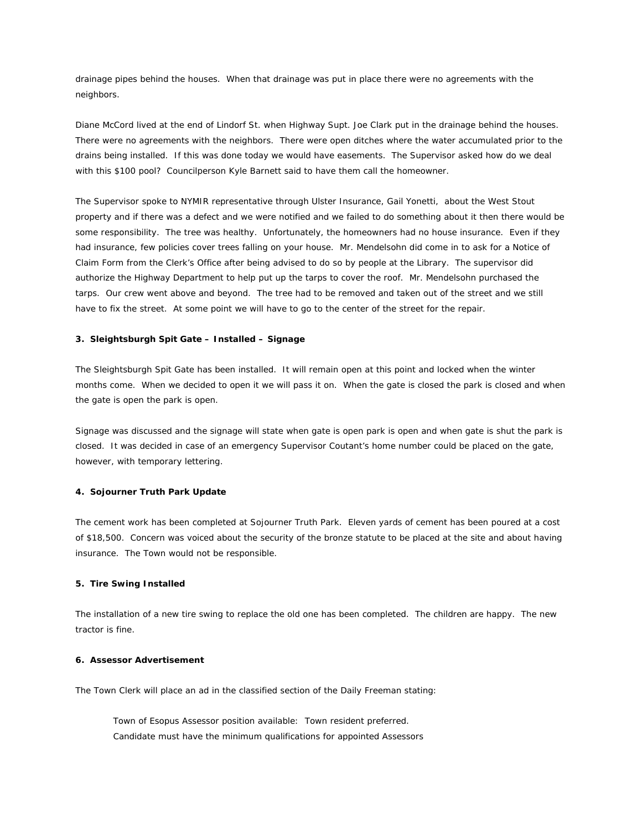drainage pipes behind the houses. When that drainage was put in place there were no agreements with the neighbors.

Diane McCord lived at the end of Lindorf St. when Highway Supt. Joe Clark put in the drainage behind the houses. There were no agreements with the neighbors. There were open ditches where the water accumulated prior to the drains being installed. If this was done today we would have easements. The Supervisor asked how do we deal with this \$100 pool? Councilperson Kyle Barnett said to have them call the homeowner.

The Supervisor spoke to NYMIR representative through Ulster Insurance, Gail Yonetti, about the West Stout property and if there was a defect and we were notified and we failed to do something about it then there would be some responsibility. The tree was healthy. Unfortunately, the homeowners had no house insurance. Even if they had insurance, few policies cover trees falling on your house. Mr. Mendelsohn did come in to ask for a Notice of Claim Form from the Clerk's Office after being advised to do so by people at the Library. The supervisor did authorize the Highway Department to help put up the tarps to cover the roof. Mr. Mendelsohn purchased the tarps. Our crew went above and beyond. The tree had to be removed and taken out of the street and we still have to fix the street. At some point we will have to go to the center of the street for the repair.

#### **3. Sleightsburgh Spit Gate – Installed – Signage**

The Sleightsburgh Spit Gate has been installed. It will remain open at this point and locked when the winter months come. When we decided to open it we will pass it on. When the gate is closed the park is closed and when the gate is open the park is open.

Signage was discussed and the signage will state when gate is open park is open and when gate is shut the park is closed. It was decided in case of an emergency Supervisor Coutant's home number could be placed on the gate, however, with temporary lettering.

#### **4. Sojourner Truth Park Update**

The cement work has been completed at Sojourner Truth Park. Eleven yards of cement has been poured at a cost of \$18,500. Concern was voiced about the security of the bronze statute to be placed at the site and about having insurance. The Town would not be responsible.

#### **5. Tire Swing Installed**

The installation of a new tire swing to replace the old one has been completed. The children are happy. The new tractor is fine.

### **6. Assessor Advertisement**

The Town Clerk will place an ad in the classified section of the Daily Freeman stating:

 Town of Esopus Assessor position available: Town resident preferred. Candidate must have the minimum qualifications for appointed Assessors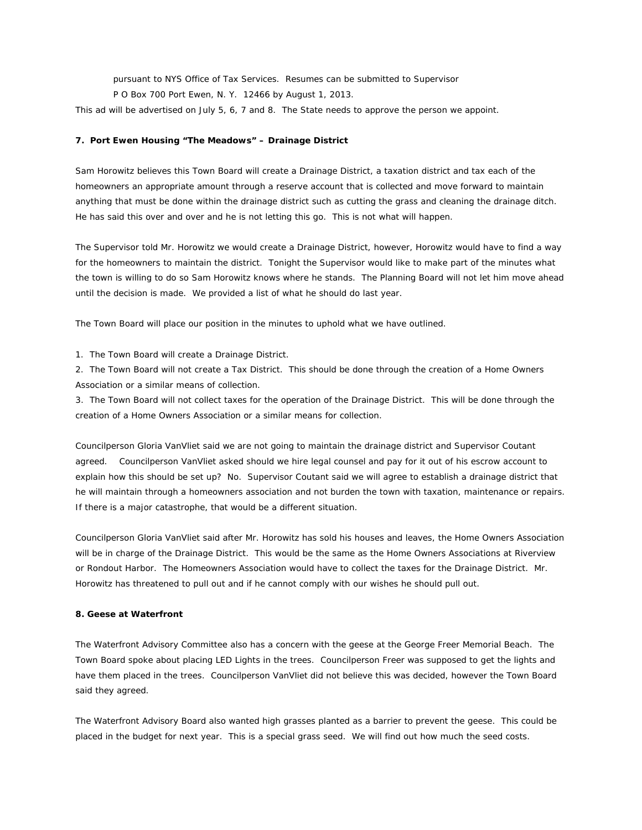pursuant to NYS Office of Tax Services. Resumes can be submitted to Supervisor

P O Box 700 Port Ewen, N. Y. 12466 by August 1, 2013.

This ad will be advertised on July 5, 6, 7 and 8. The State needs to approve the person we appoint.

## **7. Port Ewen Housing "The Meadows" – Drainage District**

Sam Horowitz believes this Town Board will create a Drainage District, a taxation district and tax each of the homeowners an appropriate amount through a reserve account that is collected and move forward to maintain anything that must be done within the drainage district such as cutting the grass and cleaning the drainage ditch. He has said this over and over and he is not letting this go. This is not what will happen.

The Supervisor told Mr. Horowitz we would create a Drainage District, however, Horowitz would have to find a way for the homeowners to maintain the district. Tonight the Supervisor would like to make part of the minutes what the town is willing to do so Sam Horowitz knows where he stands. The Planning Board will not let him move ahead until the decision is made. We provided a list of what he should do last year.

The Town Board will place our position in the minutes to uphold what we have outlined.

1. The Town Board will create a Drainage District.

2. The Town Board will not create a Tax District. This should be done through the creation of a Home Owners Association or a similar means of collection.

3. The Town Board will not collect taxes for the operation of the Drainage District. This will be done through the creation of a Home Owners Association or a similar means for collection.

Councilperson Gloria VanVliet said we are not going to maintain the drainage district and Supervisor Coutant agreed. Councilperson VanVliet asked should we hire legal counsel and pay for it out of his escrow account to explain how this should be set up? No. Supervisor Coutant said we will agree to establish a drainage district that he will maintain through a homeowners association and not burden the town with taxation, maintenance or repairs. If there is a major catastrophe, that would be a different situation.

Councilperson Gloria VanVliet said after Mr. Horowitz has sold his houses and leaves, the Home Owners Association will be in charge of the Drainage District. This would be the same as the Home Owners Associations at Riverview or Rondout Harbor. The Homeowners Association would have to collect the taxes for the Drainage District. Mr. Horowitz has threatened to pull out and if he cannot comply with our wishes he should pull out.

## **8. Geese at Waterfront**

The Waterfront Advisory Committee also has a concern with the geese at the George Freer Memorial Beach. The Town Board spoke about placing LED Lights in the trees. Councilperson Freer was supposed to get the lights and have them placed in the trees. Councilperson VanVliet did not believe this was decided, however the Town Board said they agreed.

The Waterfront Advisory Board also wanted high grasses planted as a barrier to prevent the geese. This could be placed in the budget for next year. This is a special grass seed. We will find out how much the seed costs.